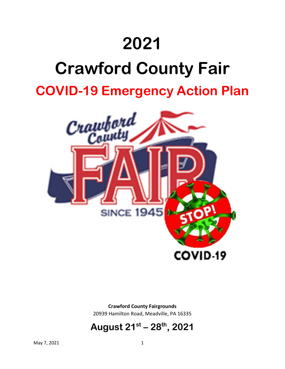# **2021**

# **Crawford County Fair**

**COVID-19 Emergency Action Plan**



**Crawford County Fairgrounds** 20939 Hamilton Road, Meadville, PA 16335

# **August 21st – 28th , 2021**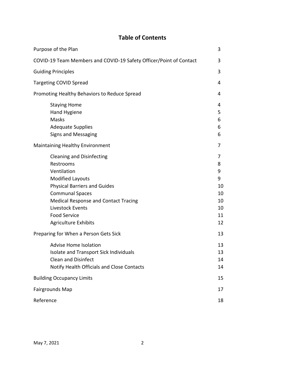### **Table of Contents**

| Purpose of the Plan                                                |                                                                                                                                                                                                                                                                            |                                                      |  |  |  |
|--------------------------------------------------------------------|----------------------------------------------------------------------------------------------------------------------------------------------------------------------------------------------------------------------------------------------------------------------------|------------------------------------------------------|--|--|--|
| COVID-19 Team Members and COVID-19 Safety Officer/Point of Contact |                                                                                                                                                                                                                                                                            |                                                      |  |  |  |
|                                                                    | <b>Guiding Principles</b>                                                                                                                                                                                                                                                  |                                                      |  |  |  |
|                                                                    | <b>Targeting COVID Spread</b>                                                                                                                                                                                                                                              |                                                      |  |  |  |
|                                                                    | Promoting Healthy Behaviors to Reduce Spread                                                                                                                                                                                                                               |                                                      |  |  |  |
|                                                                    | <b>Staying Home</b><br>Hand Hygiene<br>Masks<br><b>Adequate Supplies</b><br><b>Signs and Messaging</b>                                                                                                                                                                     | 4<br>5<br>6<br>6<br>6                                |  |  |  |
| Maintaining Healthy Environment                                    |                                                                                                                                                                                                                                                                            |                                                      |  |  |  |
|                                                                    | <b>Cleaning and Disinfecting</b><br>Restrooms<br>Ventilation<br><b>Modified Layouts</b><br><b>Physical Barriers and Guides</b><br><b>Communal Spaces</b><br>Medical Response and Contact Tracing<br>Livestock Events<br><b>Food Service</b><br><b>Agriculture Exhibits</b> | 7<br>8<br>9<br>9<br>10<br>10<br>10<br>10<br>11<br>12 |  |  |  |
| Preparing for When a Person Gets Sick                              |                                                                                                                                                                                                                                                                            |                                                      |  |  |  |
|                                                                    | <b>Advise Home Isolation</b><br>Isolate and Transport Sick Individuals<br><b>Clean and Disinfect</b><br>Notify Health Officials and Close Contacts                                                                                                                         | 13<br>13<br>14<br>14                                 |  |  |  |
| <b>Building Occupancy Limits</b>                                   |                                                                                                                                                                                                                                                                            |                                                      |  |  |  |
| Fairgrounds Map                                                    |                                                                                                                                                                                                                                                                            |                                                      |  |  |  |
| Reference                                                          |                                                                                                                                                                                                                                                                            |                                                      |  |  |  |
|                                                                    |                                                                                                                                                                                                                                                                            |                                                      |  |  |  |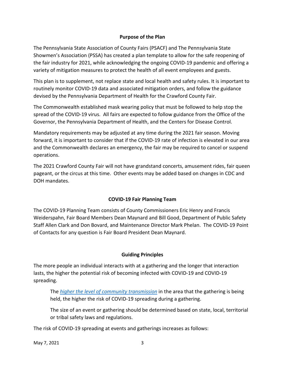#### **Purpose of the Plan**

The Pennsylvania State Association of County Fairs (PSACF) and The Pennsylvania State Showmen's Association (PSSA) has created a plan template to allow for the safe reopening of the fair industry for 2021, while acknowledging the ongoing COVID-19 pandemic and offering a variety of mitigation measures to protect the health of all event employees and guests.

This plan is to supplement, not replace state and local health and safety rules. It is important to routinely monitor COVID-19 data and associated mitigation orders, and follow the guidance devised by the Pennsylvania Department of Health for the Crawford County Fair.

The Commonwealth established mask wearing policy that must be followed to help stop the spread of the COVID-19 virus. All fairs are expected to follow guidance from the Office of the Governor, the Pennsylvania Department of Health, and the Centers for Disease Control.

Mandatory requirements may be adjusted at any time during the 2021 fair season. Moving forward, it is important to consider that if the COVID-19 rate of infection is elevated in our area and the Commonwealth declares an emergency, the fair may be required to cancel or suspend operations.

The 2021 Crawford County Fair will not have grandstand concerts, amusement rides, fair queen pageant, or the circus at this time. Other events may be added based on changes in CDC and DOH mandates.

#### **COVID-19 Fair Planning Team**

The COVID-19 Planning Team consists of County Commissioners Eric Henry and Francis Weiderspahn, Fair Board Members Dean Maynard and Bill Good, Department of Public Safety Staff Allen Clark and Don Bovard, and Maintenance Director Mark Phelan. The COVID-19 Point of Contacts for any question is Fair Board President Dean Maynard.

#### **Guiding Principles**

The more people an individual interacts with at a gathering and the longer that interaction lasts, the higher the potential risk of becoming infected with COVID-19 and COVID-19 spreading.

The *[higher the level of community transmission](https://www.cdc.gov/coronavirus/2019-ncov/community/community-mitigation.html)* in the area that the gathering is being held, the higher the risk of COVID-19 spreading during a gathering.

The size of an event or gathering should be determined based on state, local, territorial or tribal safety laws and regulations.

The risk of COVID-19 spreading at events and gatherings increases as follows: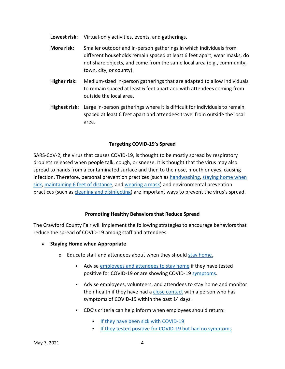- **Lowest risk:** Virtual-only activities, events, and gatherings.
- **More risk:** Smaller outdoor and in-person gatherings in which individuals from different households remain spaced at least 6 feet apart, wear masks, do not share objects, and come from the same local area (e.g., community, town, city, or county).
- **Higher risk:** Medium-sized in-person gatherings that are adapted to allow individuals to remain spaced at least 6 feet apart and with attendees coming from outside the local area.
- **Highest risk:** Large in-person gatherings where it is difficult for individuals to remain spaced at least 6 feet apart and attendees travel from outside the local area.

#### **Targeting COVID-19's Spread**

SARS-CoV-2, the virus that causes COVID-19, is thought to be mostly spread by respiratory droplets released when people talk, cough, or sneeze. It is thought that the virus may also spread to hands from a contaminated surface and then to the nose, mouth or eyes, causing infection. Therefore, personal prevention practices (such as [handwashing,](https://www.cdc.gov/handwashing/when-how-handwashing.html) [staying home when](https://www.cdc.gov/coronavirus/2019-ncov/if-you-are-sick/steps-when-sick.html)  [sick,](https://www.cdc.gov/coronavirus/2019-ncov/if-you-are-sick/steps-when-sick.html) [maintaining 6 feet of distance,](https://www.cdc.gov/coronavirus/2019-ncov/prevent-getting-sick/social-distancing.html) and [wearing a](https://www.cdc.gov/coronavirus/2019-ncov/prevent-getting-sick/about-face-coverings.html) mask) and environmental prevention practices (such as [cleaning and disinfectin](https://www.cdc.gov/coronavirus/2019-ncov/community/clean-disinfect/index.html)g) are important ways to prevent the virus's spread.

#### **Promoting Healthy Behaviors that Reduce Spread**

The Crawford County Fair will implement the following strategies to encourage behaviors that reduce the spread of COVID-19 among staff and attendees.

- **Staying Home when Appropriate**
	- o Educate staff and attendees about when they should [stay home.](https://www.cdc.gov/coronavirus/2019-ncov/if-you-are-sick/quarantine-isolation.html)
		- Advise [employees and attendees to stay home](https://www.cdc.gov/coronavirus/2019-ncov/if-you-are-sick/steps-when-sick.html) if they have tested positive for COVID-19 or are showing COVID-19 [symptoms.](https://www.cdc.gov/coronavirus/2019-ncov/symptoms-testing/symptoms.html)
		- Advise employees, volunteers, and attendees to stay home and monitor their health if they have had a [close contact](https://www.cdc.gov/coronavirus/2019-ncov/php/public-health-recommendations.html) with a person who has symptoms of COVID-19 within the past 14 days.
		- CDC's criteria can help inform when employees should return:
			- [If they have been sick with COVID-19](https://www.cdc.gov/coronavirus/2019-ncov/if-you-are-sick/steps-when-sick.html)
			- [If they tested positive for COVID-19 but had no symptoms](https://www.cdc.gov/coronavirus/2019-ncov/if-you-are-sick/end-home-isolation.html)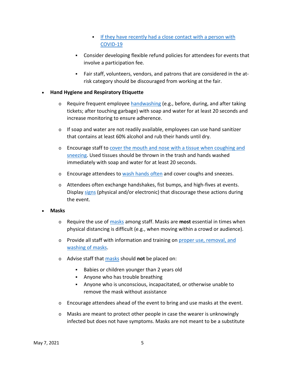- If they have recently had a close contact with a person with [COVID-19](https://www.cdc.gov/coronavirus/2019-ncov/if-you-are-sick/quarantine-isolation.html)
- Consider developing flexible refund policies for attendees for events that involve a participation fee.
- Fair staff, volunteers, vendors, and patrons that are considered in the atrisk category should be discouraged from working at the fair.

#### • **Hand Hygiene and Respiratory Etiquette**

- $\circ$  Require frequent employee [handwashing](https://www.cdc.gov/handwashing/when-how-handwashing.html) (e.g., before, during, and after taking tickets; after touching garbage) with soap and water for at least 20 seconds and increase monitoring to ensure adherence.
- $\circ$  If soap and water are not readily available, employees can use hand sanitizer that contains at least 60% alcohol and rub their hands until dry.
- o Encourage staff to [cover the mouth and nose with a tissue when coughing and](https://www.cdc.gov/coronavirus/2019-ncov/prevent-getting-sick/prevention.html)  [sneezing.](https://www.cdc.gov/coronavirus/2019-ncov/prevent-getting-sick/prevention.html) Used tissues should be thrown in the trash and hands washed immediately with soap and water for at least 20 seconds.
- $\circ$  Encourage attendees to [wash hands often](https://www.cdc.gov/handwashing/when-how-handwashing.html) and cover coughs and sneezes.
- $\circ$  Attendees often exchange handshakes, fist bumps, and high-fives at events. Display [signs](https://www.cdc.gov/coronavirus/2019-ncov/communication/print-resources.html?Sort=Date%3A%3Adesc) (physical and/or electronic) that discourage these actions during the event.

#### • **Masks**

- o Require the use of [masks](https://www.cdc.gov/coronavirus/2019-ncov/prevent-getting-sick/diy-cloth-face-coverings.html) among staff. Masks are **most** essential in times when physical distancing is difficult (e.g., when moving within a crowd or audience).
- o Provide all staff with information and training on [proper use, removal, and](https://www.cdc.gov/coronavirus/2019-ncov/prevent-getting-sick/diy-cloth-face-coverings.html)  [washing of masks.](https://www.cdc.gov/coronavirus/2019-ncov/prevent-getting-sick/diy-cloth-face-coverings.html)
- o Advise staff that [masks](https://www.cdc.gov/coronavirus/2019-ncov/prevent-getting-sick/diy-cloth-face-coverings.html) should **not** be placed on:
	- Babies or children younger than 2 years old
	- Anyone who has trouble breathing
	- Anyone who is unconscious, incapacitated, or otherwise unable to remove the mask without assistance
- $\circ$  Encourage attendees ahead of the event to bring and use [masks](https://www.cdc.gov/coronavirus/2019-ncov/prevent-getting-sick/diy-cloth-face-coverings.html) at the event.
- $\circ$  [Masks](https://www.cdc.gov/coronavirus/2019-ncov/prevent-getting-sick/diy-cloth-face-coverings.html) are meant to protect other people in case the wearer is unknowingly infected but does not have [symptoms.](https://www.cdc.gov/coronavirus/2019-ncov/symptoms-testing/symptoms.html) [Masks](https://www.cdc.gov/coronavirus/2019-ncov/prevent-getting-sick/diy-cloth-face-coverings.html) are not meant to be a substitute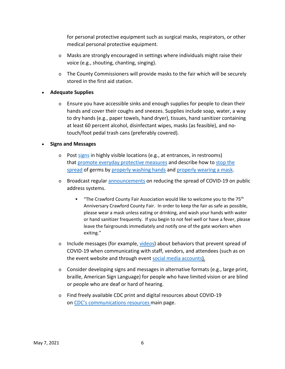for personal protective equipment such as surgical masks, respirators, or other medical personal protective equipment.

- $\circ$  Masks are strongly encouraged in settings where individuals might raise their voice (e.g., shouting, chanting, singing).
- o The County Commissioners will provide masks to the fair which will be securely stored in the first aid station.

#### • **Adequate Supplies**

 $\circ$  Ensure you have accessible sinks and enough supplies for people to clean their hands and cover their coughs and sneezes. Supplies include soap, water, a way to dry hands (e.g., paper towels, hand dryer), tissues, hand sanitizer containing at least 60 percent alcohol, disinfectant wipes, masks (as feasible), and notouch/foot pedal trash cans (preferably covered).

#### • **Signs and Messages**

- o Post [signs](https://www.cdc.gov/coronavirus/2019-ncov/communication/print-resources.html?Sort=Date%3A%3Adesc) in highly visible locations (e.g., at entrances, in restrooms) that [promote everyday protective measures](https://www.cdc.gov/coronavirus/2019-ncov/prevent-getting-sick/diy-cloth-face-coverings.html) and describe how to [stop the](https://www.cdc.gov/coronavirus/2019-ncov/downloads/stop-the-spread-of-germs-11x17-en.pdf)  [spread](https://www.cdc.gov/coronavirus/2019-ncov/downloads/stop-the-spread-of-germs-11x17-en.pdf) of germs by [properly washing hands](https://www.cdc.gov/handwashing/posters.html) and [properly wearing a mask.](https://www.cdc.gov/coronavirus/2019-ncov/images/face-covering-checklist.jpg)
- o Broadcast regular [announcements](https://www.cdc.gov/coronavirus/2019-ncov/communication/public-service-announcements.html) on reducing the spread of COVID-19 on public address systems.
	- "The Crawford County Fair Association would like to welcome you to the  $75<sup>th</sup>$ Anniversary Crawford County Fair. In order to keep the fair as safe as possible, please wear a mask unless eating or drinking, and wash your hands with water or hand sanitizer frequently. If you begin to not feel well or have a fever, please leave the fairgrounds immediately and notify one of the gate workers when exiting."
- $\circ$  Include messages (for example, [videos\)](https://www.cdc.gov/coronavirus/2019-ncov/communication/videos.html) about behaviors that prevent spread of COVID-19 when communicating with staff, vendors, and attendees (such as on the event website and through event [social media accounts\)](https://www.cdc.gov/coronavirus/2019-ncov/communication/social-media-toolkit.html).
- $\circ$  Consider developing signs and messages in alternative formats (e.g., large print, braille, American Sign Language) for people who have limited vision or are blind or people who are deaf or hard of hearing.
- o Find freely available CDC print and digital resources about COVID-19 on CDC's [communications resources](https://www.cdc.gov/coronavirus/2019-ncov/communication/index.html) main page.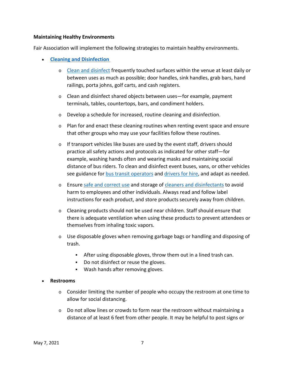#### **Maintaining Healthy Environments**

Fair Association will implement the following strategies to maintain healthy environments.

- **[Cleaning and Disinfection](https://www.cdc.gov/coronavirus/2019-ncov/community/reopen-guidance.html)**
	- o [Clean and disinfect](https://www.cdc.gov/coronavirus/2019-ncov/community/clean-disinfect/index.html) frequently touched surfaces within the venue at least daily or between uses as much as possible; door handles, sink handles, grab bars, hand railings, porta johns, golf carts, and cash registers.
	- $\circ$  Clean and disinfect shared objects between uses—for example, payment terminals, tables, countertops, bars, and condiment holders.
	- o Develop a schedule for increased, routine cleaning and disinfection.
	- $\circ$  Plan for and enact these cleaning routines when renting event space and ensure that other groups who may use your facilities follow these routines.
	- o If transport vehicles like buses are used by the event staff, drivers should practice all safety actions and protocols as indicated for other staff—for example, washing hands often and wearing masks and maintaining social distance of bus riders. To clean and disinfect event buses, vans, or other vehicles see guidance for [bus transit operators](https://www.cdc.gov/coronavirus/2019-ncov/community/organizations/bus-transit-operator.html) and [drivers for hire,](https://www.cdc.gov/coronavirus/2019-ncov/community/organizations/rideshare-drivers-for-hire.html) and adapt as needed.
	- o Ensure [safe and correct use](https://www.cdc.gov/coronavirus/2019-ncov/community/disinfecting-building-facility.html) and storage of [cleaners and disinfectants](https://www.epa.gov/pesticide-registration/list-n-disinfectants-use-against-sars-cov-2) to avoid harm to employees and other individuals. Always read and follow label instructions for each product, and store products securely away from children.
	- $\circ$  Cleaning products should not be used near children. Staff should ensure that there is adequate ventilation when using these products to prevent attendees or themselves from inhaling toxic vapors.
	- $\circ$  Use disposable gloves when removing garbage bags or handling and disposing of trash.
		- After using disposable gloves, throw them out in a lined trash can.
		- Do not disinfect or reuse the gloves.
		- [Wash hands](https://www.cdc.gov/handwashing/when-how-handwashing.html) after removing gloves.

#### • **Restrooms**

- o Consider limiting the number of people who occupy the restroom at one time to allow for social distancing.
- $\circ$  Do not allow lines or crowds to form near the restroom without maintaining a distance of at least 6 feet from other people. It may be helpful to post signs or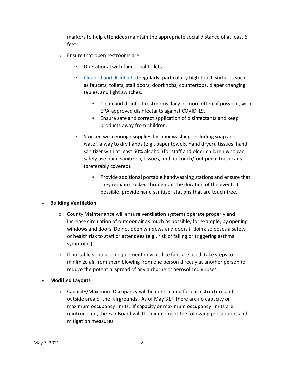markers to help attendees maintain the appropriate social distance of at least 6 feet.

- o Ensure that open restrooms are:
	- Operational with functional toilets.
	- [Cleaned and disinfected](https://www.cdc.gov/coronavirus/2019-ncov/community/clean-disinfect/index.html) regularly, particularly high-touch surfaces such as faucets, toilets, stall doors, doorknobs, countertops, diaper changing tables, and light switches.
		- Clean and disinfect restrooms daily or more often, if possible, with EPA-approved disinfectants against COVID-19.
		- Ensure safe and correct application of disinfectants and keep products away from children.
	- Stocked with enough supplies for handwashing, including soap and water, a way to dry hands (e.g., paper towels, hand dryer), tissues, hand sanitizer with at least 60% alcohol (for staff and older children who can safely use hand sanitizer), tissues, and no-touch/foot pedal trash cans (preferably covered).
		- Provide additional portable handwashing stations and ensure that they remain stocked throughout the duration of the event. If possible, provide hand sanitizer stations that are touch-free.

#### • **Building Ventilation**

- $\circ$  County Maintenance will ensure ventilation systems operate properly and increase circulation of outdoor air as much as possible, for example, by opening windows and doors. Do not open windows and doors if doing so poses a safety or health risk to staff or attendees (e.g., risk of falling or triggering asthma symptoms).
- $\circ$  If portable ventilation equipment devices like fans are used, take steps to minimize air from them blowing from one person directly at another person to reduce the potential spread of any airborne or aerosolized viruses.
- **Modified Layouts**
	- o Capacity/Maximum Occupancy will be determined for each structure and outside area of the fairgrounds. As of May  $31^{st}$ , there are no capacity or maximum occupancy limits. If capacity or maximum occupancy limits are reintroduced, the Fair Board will then implement the following precautions and mitigation measures.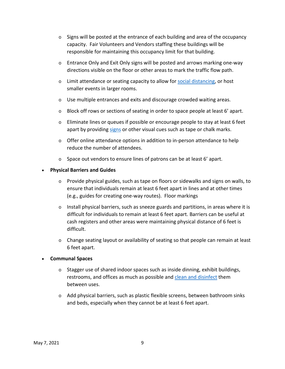- $\circ$  Signs will be posted at the entrance of each building and area of the occupancy capacity. Fair Volunteers and Vendors staffing these buildings will be responsible for maintaining this occupancy limit for that building.
- o Entrance Only and Exit Only signs will be posted and arrows marking one-way directions visible on the floor or other areas to mark the traffic flow path.
- o Limit attendance or seating capacity to allow for [social distancing,](https://www.cdc.gov/coronavirus/2019-ncov/prevent-getting-sick/social-distancing.html) or host smaller events in larger rooms.
- o Use multiple entrances and exits and discourage crowded waiting areas.
- o Block off rows or sections of seating in order to space people at least 6' apart.
- $\circ$  Eliminate lines or queues if possible or encourage people to stay at least 6 feet apart by providing [signs](https://www.cdc.gov/coronavirus/2019-ncov/communication/print-resources.html?Sort=Date%3A%3Adesc) or other visual cues such as tape or chalk marks.
- $\circ$  Offer online attendance options in addition to in-person attendance to help reduce the number of attendees.
- o Space out vendors to ensure lines of patrons can be at least 6' apart.

#### • **Physical Barriers and Guides**

- $\circ$  Provide physical guides, such as tape on floors or sidewalks and signs on walls, to ensure that individuals remain at least 6 feet apart in lines and at other times (e.g., guides for creating one-way routes). Floor markings
- $\circ$  Install physical barriers, such as sneeze guards and partitions, in areas where it is difficult for individuals to remain at least 6 feet apart. Barriers can be useful at cash registers and other areas were maintaining physical distance of 6 feet is difficult.
- o Change seating layout or availability of seating so that people can remain at least 6 feet apart.

#### • **Communal Spaces**

- $\circ$  Stagger use of shared indoor spaces such as inside dinning, exhibit buildings, restrooms, and offices as much as possible and [clean and disinfect](https://www.cdc.gov/coronavirus/2019-ncov/community/disinfecting-building-facility.html) them between uses.
- $\circ$  Add physical barriers, such as plastic flexible screens, between bathroom sinks and beds, especially when they cannot be at least 6 feet apart.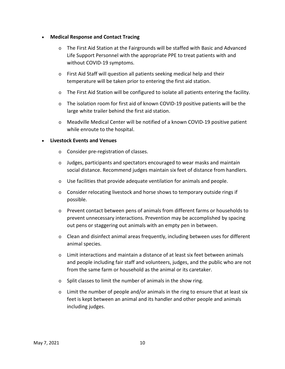#### • **Medical Response and Contact Tracing**

- o The First Aid Station at the Fairgrounds will be staffed with Basic and Advanced Life Support Personnel with the appropriate PPE to treat patients with and without COVID-19 symptoms.
- o First Aid Staff will question all patients seeking medical help and their temperature will be taken prior to entering the first aid station.
- $\circ$  The First Aid Station will be configured to isolate all patients entering the facility.
- $\circ$  The isolation room for first aid of known COVID-19 positive patients will be the large white trailer behind the first aid station.
- o Meadville Medical Center will be notified of a known COVID-19 positive patient while enroute to the hospital.

#### • **Livestock Events and Venues**

- o Consider pre-registration of classes.
- $\circ$  Judges, participants and spectators encouraged to wear masks and maintain social distance. Recommend judges maintain six feet of distance from handlers.
- $\circ$  Use facilities that provide adequate ventilation for animals and people.
- o Consider relocating livestock and horse shows to temporary outside rings if possible.
- o Prevent contact between pens of animals from different farms or households to prevent unnecessary interactions. Prevention may be accomplished by spacing out pens or staggering out animals with an empty pen in between.
- $\circ$  Clean and disinfect animal areas frequently, including between uses for different animal species.
- $\circ$  Limit interactions and maintain a distance of at least six feet between animals and people including fair staff and volunteers, judges, and the public who are not from the same farm or household as the animal or its caretaker.
- o Split classes to limit the number of animals in the show ring.
- $\circ$  Limit the number of people and/or animals in the ring to ensure that at least six feet is kept between an animal and its handler and other people and animals including judges.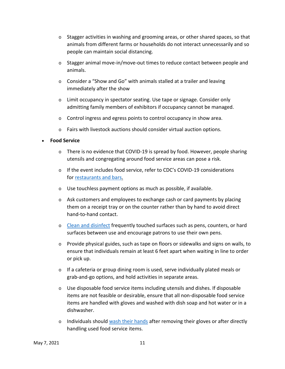- $\circ$  Stagger activities in washing and grooming areas, or other shared spaces, so that animals from different farms or households do not interact unnecessarily and so people can maintain social distancing.
- $\circ$  Stagger animal move-in/move-out times to reduce contact between people and animals.
- $\circ$  Consider a "Show and Go" with animals stalled at a trailer and leaving immediately after the show
- o Limit occupancy in spectator seating. Use tape or signage. Consider only admitting family members of exhibitors if occupancy cannot be managed.
- o Control ingress and egress points to control occupancy in show area.
- $\circ$  Fairs with livestock auctions should consider virtual auction options.

#### • **Food Service**

- $\circ$  There is no evidence that COVID-19 is spread by food. However, people sharing utensils and congregating around food service areas can pose a risk.
- o If the event includes food service, refer to CDC's COVID-19 considerations for [restaurants and bars.](https://www.cdc.gov/coronavirus/2019-ncov/community/organizations/business-employers/bars-restaurants.html)
- o Use touchless payment options as much as possible, if available.
- o Ask customers and employees to exchange cash or card payments by placing them on a receipt tray or on the counter rather than by hand to avoid direct hand-to-hand contact.
- o [Clean and disinfect](https://www.cdc.gov/coronavirus/2019-ncov/community/disinfecting-building-facility.html) frequently touched surfaces such as pens, counters, or hard surfaces between use and encourage patrons to use their own pens.
- $\circ$  Provide physical guides, such as tape on floors or sidewalks and signs on walls, to ensure that individuals remain at least 6 feet apart when waiting in line to order or pick up.
- o If a cafeteria or group dining room is used, serve individually plated meals or grab-and-go options, and hold activities in separate areas.
- $\circ$  Use disposable food service items including utensils and dishes. If disposable items are not feasible or desirable, ensure that all non-disposable food service items are handled with gloves and washed with dish soap and hot water or in a dishwasher.
- o Individuals should [wash their hands](https://www.cdc.gov/handwashing/when-how-handwashing.html) after removing their gloves or after directly handling used food service items.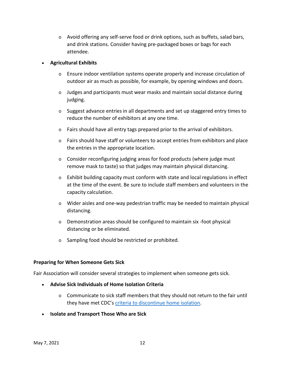$\circ$  Avoid offering any self-serve food or drink options, such as buffets, salad bars, and drink stations. Consider having pre-packaged boxes or bags for each attendee.

#### • **Agricultural Exhibits**

- o Ensure indoor ventilation systems operate properly and increase circulation of outdoor air as much as possible, for example, by opening windows and doors.
- $\circ$  Judges and participants must wear masks and maintain social distance during judging.
- $\circ$  Suggest advance entries in all departments and set up staggered entry times to reduce the number of exhibitors at any one time.
- $\circ$  Fairs should have all entry tags prepared prior to the arrival of exhibitors.
- $\circ$  Fairs should have staff or volunteers to accept entries from exhibitors and place the entries in the appropriate location.
- o Consider reconfiguring judging areas for food products (where judge must remove mask to taste) so that judges may maintain physical distancing.
- $\circ$  Exhibit building capacity must conform with state and local regulations in effect at the time of the event. Be sure to include staff members and volunteers in the capacity calculation.
- o Wider aisles and one-way pedestrian traffic may be needed to maintain physical distancing.
- o Demonstration areas should be configured to maintain six -foot physical distancing or be eliminated.
- o Sampling food should be restricted or prohibited.

#### **Preparing for When Someone Gets Sick**

Fair Association will consider several strategies to implement when someone gets sick.

- **Advise Sick Individuals of Home Isolation Criteria**
	- $\circ$  Communicate to sick staff members that they should not return to the fair until they have met CDC's [criteria to discontinue home isolation.](https://www.cdc.gov/coronavirus/2019-ncov/if-you-are-sick/steps-when-sick.html)
- **Isolate and Transport Those Who are Sick**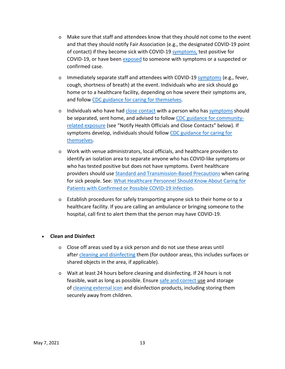- $\circ$  Make sure that staff and attendees know that they should not come to the event and that they should notify Fair Association (e.g., the designated COVID-19 point of contact) if they become sick with COVID-19 [symptoms,](https://www.cdc.gov/coronavirus/2019-ncov/symptoms-testing/symptoms.html) test positive for COVID-19, or have been [exposed](https://www.cdc.gov/coronavirus/2019-ncov/php/public-health-recommendations.html) to someone with symptoms or a suspected or confirmed case.
- o Immediately separate staff and attendees with COVID-19 [symptoms](https://www.cdc.gov/coronavirus/2019-ncov/symptoms-testing/symptoms.html) (e.g., fever, cough, shortness of breath) at the event. Individuals who are sick should go home or to a healthcare facility, depending on how severe their symptoms are, and follow [CDC guidance for caring for themselves.](https://www.cdc.gov/coronavirus/2019-ncov/if-you-are-sick/index.html)
- $\circ$  Individuals who have had [close contact](https://www.cdc.gov/coronavirus/2019-ncov/php/public-health-recommendations.html) with a person who has [symptoms](https://www.cdc.gov/coronavirus/2019-ncov/communication/print-resources.html?Sort=Date%3A%3Adesc) should be separated, sent home, and advised to follow [CDC guidance for community](https://www.cdc.gov/coronavirus/2019-ncov/php/public-health-recommendations.html)[related exposure](https://www.cdc.gov/coronavirus/2019-ncov/php/public-health-recommendations.html) (see "Notify Health Officials and Close Contacts" below). If symptoms develop, individuals should follow [CDC guidance for caring for](https://www.cdc.gov/coronavirus/2019-ncov/if-you-are-sick/quarantine-isolation.html)  [themselves.](https://www.cdc.gov/coronavirus/2019-ncov/if-you-are-sick/quarantine-isolation.html)
- o Work with venue administrators, local officials, and healthcare providers to identify an isolation area to separate anyone who has COVID-like symptoms or who has tested positive but does not have symptoms. Event healthcare providers should use [Standard and Transmission-Based Precautions](https://www.cdc.gov/coronavirus/2019-ncov/hcp/infection-control-recommendations.html) when caring for sick people. See: [What Healthcare Personnel Should Know About Caring for](https://www.cdc.gov/coronavirus/2019-nCoV/hcp/index.html)  [Patients with Confirmed or Possible COVID-19 Infection.](https://www.cdc.gov/coronavirus/2019-nCoV/hcp/index.html)
- o Establish procedures for safely transporting anyone sick to their home or to a healthcare facility. If you are calling an ambulance or bringing someone to the hospital, call first to alert them that the person may have COVID-19.

#### • **Clean and Disinfect**

- o Close off areas used by a sick person and do not use these areas until after [cleaning and disinfecting](https://www.cdc.gov/coronavirus/2019-ncov/community/clean-disinfect/index.html) them (for outdoor areas, this includes surfaces or shared objects in the area, if applicable).
- o Wait at least 24 hours before cleaning and disinfecting. If 24 hours is not feasible, wait as long as possible. Ensure [safe and correct](https://www.cdc.gov/coronavirus/2019-ncov/community/disinfecting-building-facility.html) use and storage of cleaning [external icon](https://www.epa.gov/pesticide-registration/list-n-disinfectants-use-against-sars-cov-2) and disinfection products, including storing them securely away from children.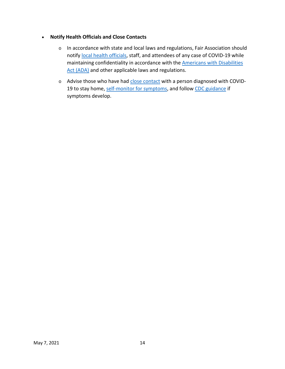#### • **Notify Health Officials and Close Contacts**

- o In accordance with state and local laws and regulations, Fair Association should notify [local health officials,](https://www.cdc.gov/publichealthgateway/healthdirectories/index.html) staff, and attendees of any case of COVID-19 while maintaining confidentiality in accordance with the [Americans with Disabilities](https://www.eeoc.gov/facts/pandemic_flu.html)  [Act \(ADA\)](https://www.eeoc.gov/facts/pandemic_flu.html) and other applicable laws and regulations.
- o Advise those who have had [close contact](https://www.cdc.gov/coronavirus/2019-ncov/php/public-health-recommendations.html) with a person diagnosed with COVID19 to stay home, [self-monitor for symptoms,](https://www.cdc.gov/coronavirus/2019-ncov/if-you-are-sick/quarantine-isolation.html) and follow [CDC guidance](https://www.cdc.gov/coronavirus/2019-ncov/if-you-are-sick/steps-when-sick.html) if symptoms develop.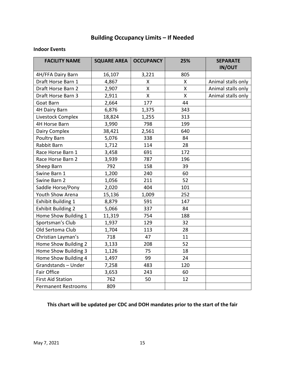## **Building Occupancy Limits – If Needed**

#### **Indoor Events**

| <b>FACILITY NAME</b>       | <b>SQUARE AREA</b> | <b>OCCUPANCY</b> | 25%          | <b>SEPARATE</b><br><b>IN/OUT</b> |
|----------------------------|--------------------|------------------|--------------|----------------------------------|
| 4H/FFA Dairy Barn          | 16,107             | 3,221            | 805          |                                  |
| Draft Horse Barn 1         | 4,867              | X                | X            | Animal stalls only               |
| Draft Horse Barn 2         | 2,907              | Χ                | Χ            | Animal stalls only               |
| Draft Horse Barn 3         | 2,911              | X                | $\mathsf{X}$ | Animal stalls only               |
| Goat Barn                  | 2,664              | 177              | 44           |                                  |
| 4H Dairy Barn              | 6,876              | 1,375            | 343          |                                  |
| Livestock Complex          | 18,824             | 1,255            | 313          |                                  |
| 4H Horse Barn              | 3,990              | 798              | 199          |                                  |
| Dairy Complex              | 38,421             | 2,561            | 640          |                                  |
| Poultry Barn               | 5,076              | 338              | 84           |                                  |
| Rabbit Barn                | 1,712              | 114              | 28           |                                  |
| Race Horse Barn 1          | 3,458              | 691              | 172          |                                  |
| Race Horse Barn 2          | 3,939              | 787              | 196          |                                  |
| Sheep Barn                 | 792                | 158              | 39           |                                  |
| Swine Barn 1               | 1,200              | 240              | 60           |                                  |
| Swine Barn 2               | 1,056              | 211              | 52           |                                  |
| Saddle Horse/Pony          | 2,020              | 404              | 101          |                                  |
| Youth Show Arena           | 15,136             | 1,009            | 252          |                                  |
| <b>Exhibit Building 1</b>  | 8,879              | 591              | 147          |                                  |
| <b>Exhibit Building 2</b>  | 5,066              | 337              | 84           |                                  |
| Home Show Building 1       | 11,319             | 754              | 188          |                                  |
| Sportsman's Club           | 1,937              | 129              | 32           |                                  |
| Old Sertoma Club           | 1,704              | 113              | 28           |                                  |
| Christian Layman's         | 718                | 47               | 11           |                                  |
| Home Show Building 2       | 3,133              | 208              | 52           |                                  |
| Home Show Building 3       | 1,126              | 75               | 18           |                                  |
| Home Show Building 4       | 1,497              | 99               | 24           |                                  |
| Grandstands-Under          | 7,258              | 483              | 120          |                                  |
| <b>Fair Office</b>         | 3,653              | 243              | 60           |                                  |
| <b>First Aid Station</b>   | 762                | 50               | 12           |                                  |
| <b>Permanent Restrooms</b> | 809                |                  |              |                                  |

#### **This chart will be updated per CDC and DOH mandates prior to the start of the fair**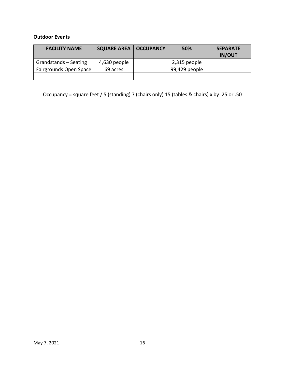#### **Outdoor Events**

| <b>FACILITY NAME</b>   | <b>SQUARE AREA   OCCUPANCY</b> | 50%           | <b>SEPARATE</b><br><b>IN/OUT</b> |
|------------------------|--------------------------------|---------------|----------------------------------|
| Grandstands - Seating  | 4,630 people                   | 2,315 people  |                                  |
| Fairgrounds Open Space | 69 acres                       | 99,429 people |                                  |
|                        |                                |               |                                  |

Occupancy = square feet / 5 (standing) 7 (chairs only) 15 (tables & chairs) x by .25 or .50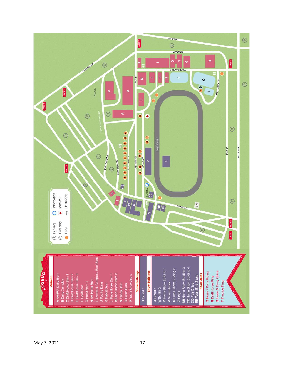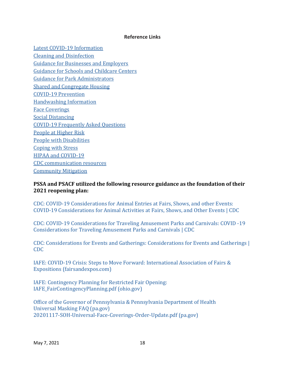#### **Reference Links**

Latest COVID-19 Information Cleaning and Disinfection Guidance for Businesses and Employers Guidance for Schools and Childcare Centers Guidance for Park Administrators Shared and Congregate Housing COVID-19 Prevention Handwashing Information Face Coverings Social Distancing COVID-19 Frequently Asked Questions People at Higher Risk People with Disabilities Coping with Stress HIPAA and COVID-19 CDC communication resources Community Mitigation

#### **PSSA and PSACF utilized the following resource guidance as the foundation of their 2021 reopening plan:**

CDC: COVID-19 Considerations for Animal Entries at Fairs, Shows, and other Events: COVID-19 Considerations for Animal Activities at Fairs, Shows, and Other Events | CDC

CDC: COVID-19 Considerations for Traveling Amusement Parks and Carnivals: COVID -19 Considerations for Traveling Amusement Parks and Carnivals | CDC

CDC: Considerations for Events and Gatherings: Considerations for Events and Gatherings | CDC

IAFE: COVID-19 Crisis: Steps to Move Forward: International Association of Fairs & Expositions (fairsandexpos.com)

IAFE: Contingency Planning for Restricted Fair Opening: IAFE\_FairContingencyPlanning.pdf (ohio.gov)

Office of the Governor of Pennsylvania & Pennsylvania Department of Health Universal Masking FAQ (pa.gov) 20201117-SOH-Universal-Face-Coverings-Order-Update.pdf (pa.gov)